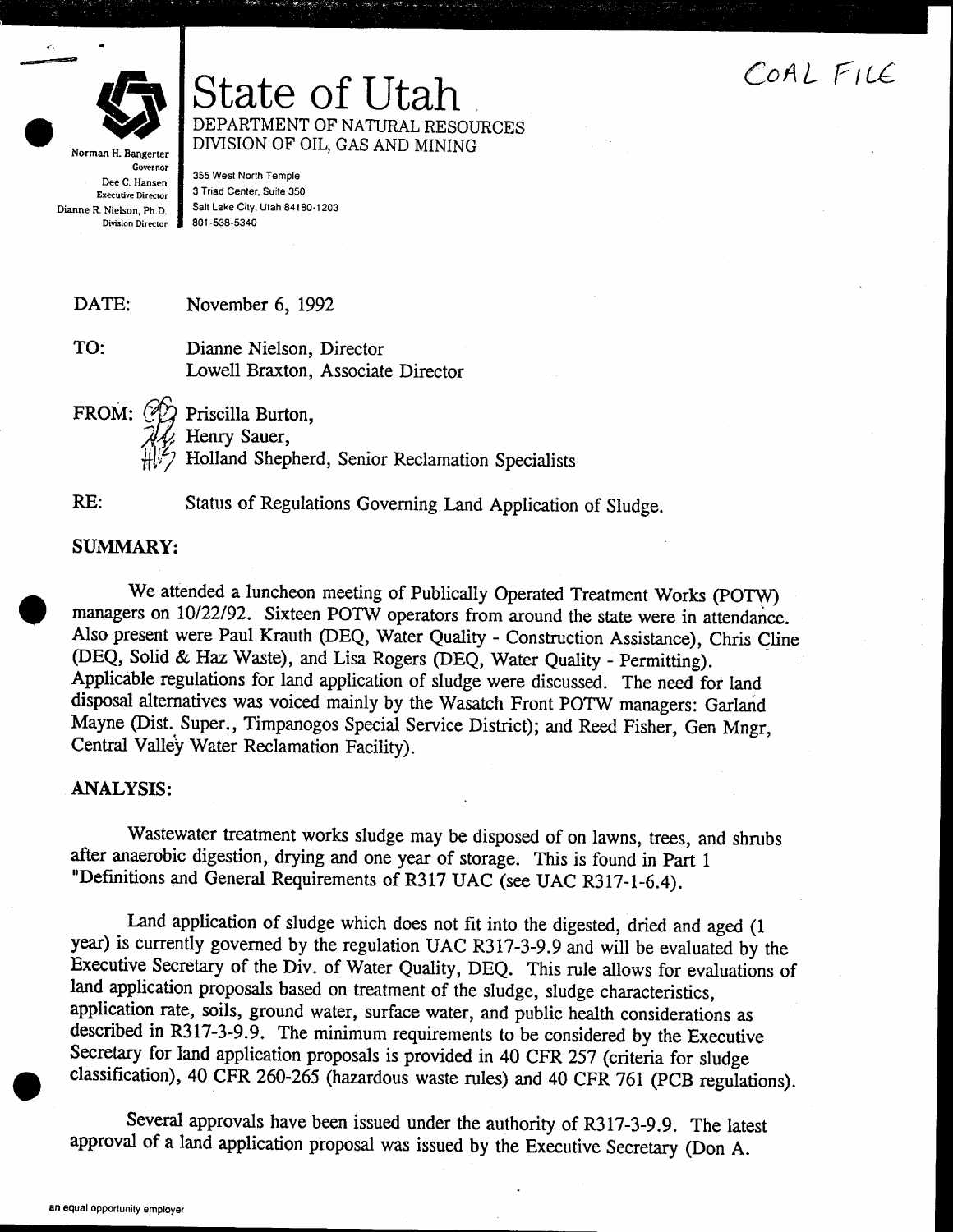## COAL FILE



State of Utah DEPARTMENT OF NATURAL RESOURCES DIVISION OF OIL, GAS AND MINING

**Governor** Dee C. Hansen Executive Director Dianne R. Nielson. Ph.D. Division Director

355 West North Temple 3 Triad Center, Suite 350 Salt Lake City, Utah 84180.1203 801 -538-5340

DATE: November 6, 1992

TO: Dianne Nielson, Director Lowell Braxton, Associate Director

FROM:  $\mathcal{A}$ Priscilla Burton,

Henry Sauer,

 $\hat{H}^{1/2}$ Holland Shepherd, Senior Reclamation Specialists

RE:

 $\bullet$ 

Status of Regulations Governing Land Application of Sludge.

## SUMMARY:

We attended a luncheon meeting of Publically Operated Treatment Works (POTW) managers on 10/22/92. Sixteen POTW operators from around the state were in attendance. Also present were Paul Krauth (DEQ, Water Quality - Construction Assistance), Chris Cline (DEQ, Solid & Haz Waste), and Lisa Rogers (DEQ, Water Quality - Permitting). Applicable regulations for land application of sludge were discussed, The need for land disposat alternatives was voiced mainly by the Wasatch Front POTW managers: Garland Mayne (Dist. Super., Timpanogos Special Service District); and Reed Fisher, Gen Mngr, Central Valley Water Reclamation Facility).

## ANALYSIS:

Wastewater treatment works sludge may be disposed of on lawns, trees, and shrubs after anaerobic digestion, drying and one year of storage. This is found in Part <sup>1</sup> "Definitions and General Requirements of R317 UAC (see UAC R3lT-l-6.4).

Land application of sludge which does not fit into the digested, dried and aged (1) year) is currently governed by the regulation UAC R317-3-9.9 and will be evaluated by the Executive Secretary of the Div. of Water Quality, DEQ. This rule allows for evaluations of land application proposals based on treatment of the sludge, sludge characteristics, application rate, soils, ground water, surface water, and public health considerations as described in R3I7-3-9.9. The minimum requirements to be considered by the Executive Secretary for land application proposals is provided in 40 CFR 257 (criteria for sludge classification), 40 CFR 260-265 (hazardous waste rules) and 40 CFR 761 (PCB regulations).

Several approvals have been issued under the authority of R317-3-9.9. The latest approval of a land application proposal was issued by the Executive Secretary (Don A.